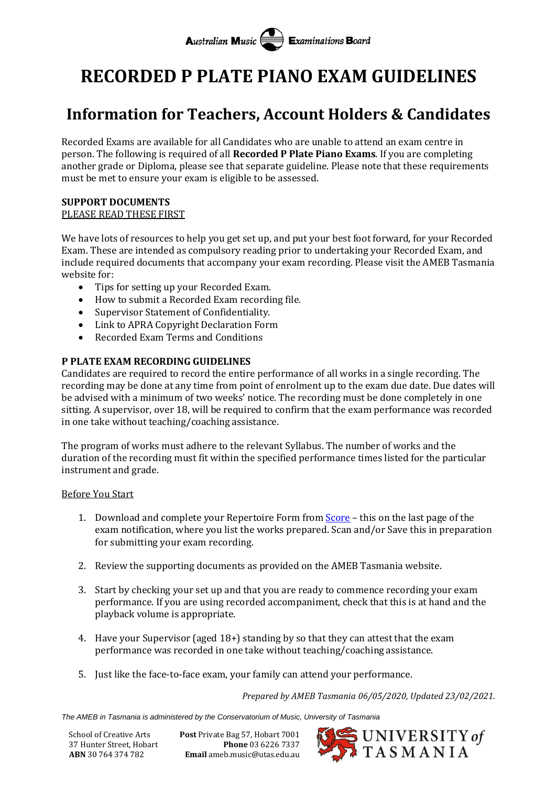# **Australian Music** Examinations Board

# **RECORDED P PLATE PIANO EXAM GUIDELINES**

# **Information for Teachers, Account Holders & Candidates**

Recorded Exams are available for all Candidates who are unable to attend an exam centre in person. The following is required of all **Recorded P Plate Piano Exams**. If you are completing another grade or Diploma, please see that separate guideline. Please note that these requirements must be met to ensure your exam is eligible to be assessed.

## **SUPPORT DOCUMENTS** PLEASE READ THESE FIRST

We have lots of resources to help you get set up, and put your best foot forward, for your Recorded Exam. These are intended as compulsory reading prior to undertaking your Recorded Exam, and include required documents that accompany your exam recording. Please visit the AMEB Tasmania website for:

- Tips for setting up your Recorded Exam.
- How to submit a Recorded Exam recording file.
- Supervisor Statement of Confidentiality.
- Link to APRA Copyright Declaration Form
- Recorded Exam Terms and Conditions

# **P PLATE EXAM RECORDING GUIDELINES**

Candidates are required to record the entire performance of all works in a single recording. The recording may be done at any time from point of enrolment up to the exam due date. Due dates will be advised with a minimum of two weeks' notice. The recording must be done completely in one sitting. A supervisor, over 18, will be required to confirm that the exam performance was recorded in one take without teaching/coaching assistance.

The program of works must adhere to the relevant Syllabus. The number of works and the duration of the recording must fit within the specified performance times listed for the particular instrument and grade.

### Before You Start

- 1. Download and complete your Repertoire Form from [Score](https://tas.ameb.edu.au/) this on the last page of the exam notification, where you list the works prepared. Scan and/or Save this in preparation for submitting your exam recording.
- 2. Review the supporting documents as provided on the AMEB Tasmania website.
- 3. Start by checking your set up and that you are ready to commence recording your exam performance. If you are using recorded accompaniment, check that this is at hand and the playback volume is appropriate.
- 4. Have your Supervisor (aged 18+) standing by so that they can attest that the exam performance was recorded in one take without teaching/coaching assistance.
- 5. Just like the face-to-face exam, your family can attend your performance.

*Prepared by AMEB Tasmania 06/05/2020, Updated 23/02/2021.*

*The AMEB in Tasmania is administered by the Conservatorium of Music, University of Tasmania*

School of Creative Arts **Post** Private Bag 57, Hobart 7001 37 Hunter Street, Hobart **Phone** 03 6226 7337 **ABN** 30 764 374 782 **Email** ameb.music@utas.edu.au